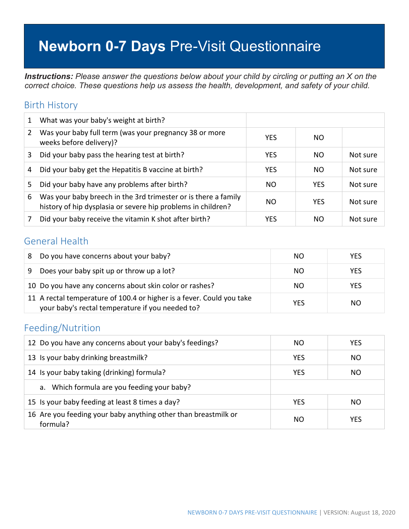# **Newborn 0-7 Days** Pre-Visit Questionnaire

*Instructions: Please answer the questions below about your child by circling or putting an X on the correct choice. These questions help us assess the health, development, and safety of your child.*

#### Birth History

| 1 | What was your baby's weight at birth?                                                                                          |            |            |          |
|---|--------------------------------------------------------------------------------------------------------------------------------|------------|------------|----------|
| 2 | Was your baby full term (was your pregnancy 38 or more<br>weeks before delivery)?                                              | <b>YES</b> | NO.        |          |
| 3 | Did your baby pass the hearing test at birth?                                                                                  | <b>YES</b> | NO.        | Not sure |
| 4 | Did your baby get the Hepatitis B vaccine at birth?                                                                            | <b>YES</b> | NO.        | Not sure |
| 5 | Did your baby have any problems after birth?                                                                                   | NO.        | <b>YES</b> | Not sure |
| 6 | Was your baby breech in the 3rd trimester or is there a family<br>history of hip dysplasia or severe hip problems in children? | NO.        | <b>YES</b> | Not sure |
|   | Did your baby receive the vitamin K shot after birth?                                                                          | YES        | NO         | Not sure |

#### General Health

| 8 | Do you have concerns about your baby?                                                                                     | NO.        | <b>YES</b> |
|---|---------------------------------------------------------------------------------------------------------------------------|------------|------------|
| 9 | Does your baby spit up or throw up a lot?                                                                                 | NO         | <b>YES</b> |
|   | 10 Do you have any concerns about skin color or rashes?                                                                   | NO.        | <b>YES</b> |
|   | 11 A rectal temperature of 100.4 or higher is a fever. Could you take<br>your baby's rectal temperature if you needed to? | <b>YES</b> | NO.        |

#### Feeding/Nutrition

| 12 Do you have any concerns about your baby's feedings?                    | NO.        | <b>YES</b> |
|----------------------------------------------------------------------------|------------|------------|
| 13 Is your baby drinking breastmilk?                                       | <b>YES</b> | NO.        |
| 14 Is your baby taking (drinking) formula?                                 | <b>YES</b> | NO.        |
| a. Which formula are you feeding your baby?                                |            |            |
| 15 Is your baby feeding at least 8 times a day?                            | <b>YES</b> | NO.        |
| 16 Are you feeding your baby anything other than breastmilk or<br>formula? | NO.        | <b>YES</b> |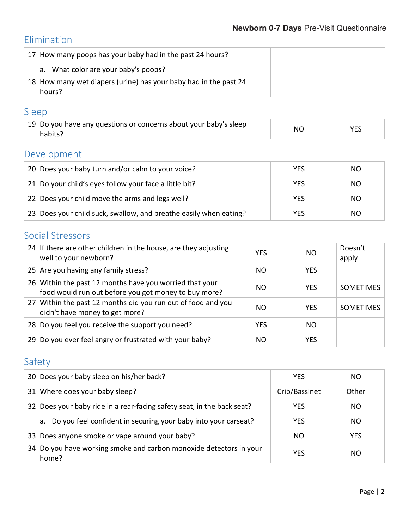# Elimination

| 17 How many poops has your baby had in the past 24 hours?                  |  |
|----------------------------------------------------------------------------|--|
| a. What color are your baby's poops?                                       |  |
| 18 How many wet diapers (urine) has your baby had in the past 24<br>hours? |  |

#### Sleep

| 19 Do you have any questions or concerns about your baby's sleep | <b>NC</b> | YES |
|------------------------------------------------------------------|-----------|-----|
| habits?                                                          |           |     |

## Development

| 20 Does your baby turn and/or calm to your voice?                 | <b>YES</b> | NO  |
|-------------------------------------------------------------------|------------|-----|
| 21 Do your child's eyes follow your face a little bit?            | <b>YES</b> | NO. |
| 22 Does your child move the arms and legs well?                   | <b>YES</b> | NO. |
| 23 Does your child suck, swallow, and breathe easily when eating? | YES        | NO  |

### Social Stressors

| 24 If there are other children in the house, are they adjusting<br>well to your newborn?                        | <b>YES</b> | NO.        | Doesn't<br>apply |
|-----------------------------------------------------------------------------------------------------------------|------------|------------|------------------|
| 25 Are you having any family stress?                                                                            | NO.        | <b>YES</b> |                  |
| 26 Within the past 12 months have you worried that your<br>food would run out before you got money to buy more? | NO.        | <b>YES</b> | <b>SOMETIMES</b> |
| 27 Within the past 12 months did you run out of food and you<br>didn't have money to get more?                  | NO.        | <b>YES</b> | <b>SOMETIMES</b> |
| 28 Do you feel you receive the support you need?                                                                | <b>YES</b> | NO.        |                  |
| 29 Do you ever feel angry or frustrated with your baby?                                                         | NO.        | YES        |                  |

# Safety

| 30 Does your baby sleep on his/her back?                                    | <b>YES</b>    | NO.        |
|-----------------------------------------------------------------------------|---------------|------------|
| 31 Where does your baby sleep?                                              | Crib/Bassinet | Other      |
| 32 Does your baby ride in a rear-facing safety seat, in the back seat?      | YES           | NO.        |
| a. Do you feel confident in securing your baby into your carseat?           | <b>YES</b>    | NO.        |
| 33 Does anyone smoke or vape around your baby?                              | NO.           | <b>YES</b> |
| 34 Do you have working smoke and carbon monoxide detectors in your<br>home? | YES           | NO.        |